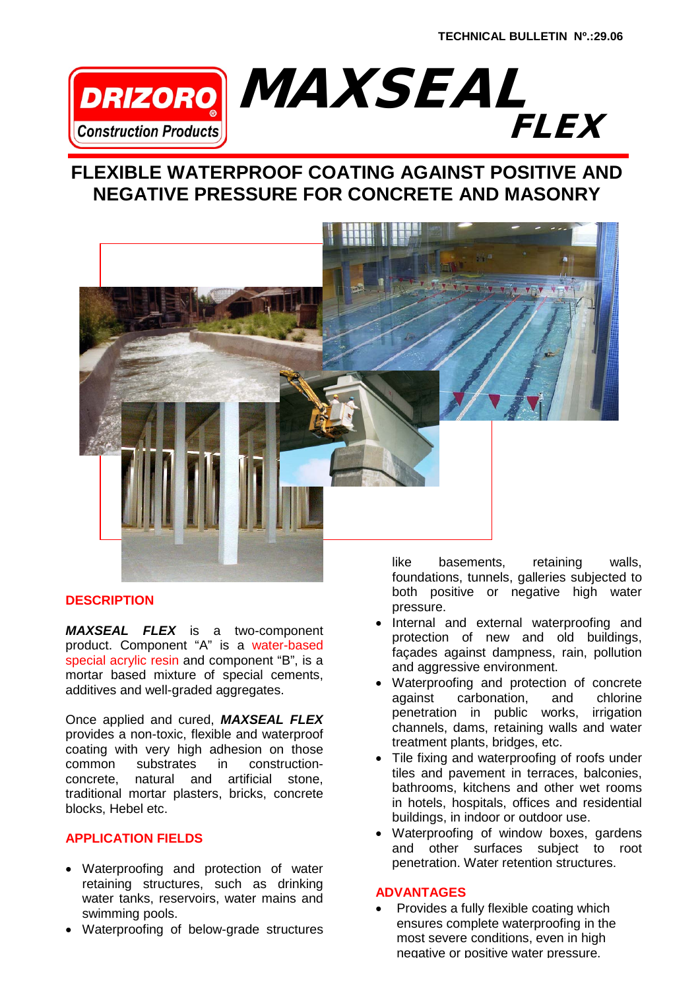

# **FLEXIBLE WATERPROOF COATING AGAINST POSITIVE AND NEGATIVE PRESSURE FOR CONCRETE AND MASONRY**



## **DESCRIPTION**

*MAXSEAL FLEX* is a two-component product. Component "A" is a water-based special acrylic resin and component "B", is a mortar based mixture of special cements, additives and well-graded aggregates.

Once applied and cured, *MAXSEAL FLEX* provides a non-toxic, flexible and waterproof coating with very high adhesion on those common substrates in construction-<br>concrete, natural and artificial stone, natural and artificial stone, traditional mortar plasters, bricks, concrete blocks, Hebel etc.

## **APPLICATION FIELDS**

- Waterproofing and protection of water retaining structures, such as drinking water tanks, reservoirs, water mains and swimming pools.
- Waterproofing of below-grade structures

like basements, retaining walls, foundations, tunnels, galleries subjected to both positive or negative high water pressure.

- Internal and external waterproofing and protection of new and old buildings, façades against dampness, rain, pollution and aggressive environment.
- Waterproofing and protection of concrete against carbonation, and chlorine penetration in public works, irrigation channels, dams, retaining walls and water treatment plants, bridges, etc.
- Tile fixing and waterproofing of roofs under tiles and pavement in terraces, balconies, bathrooms, kitchens and other wet rooms in hotels, hospitals, offices and residential buildings, in indoor or outdoor use.
- Waterproofing of window boxes, gardens and other surfaces subject to root penetration. Water retention structures.

#### **ADVANTAGES**

• Provides a fully flexible coating which ensures complete waterproofing in the most severe conditions, even in high negative or positive water pressure.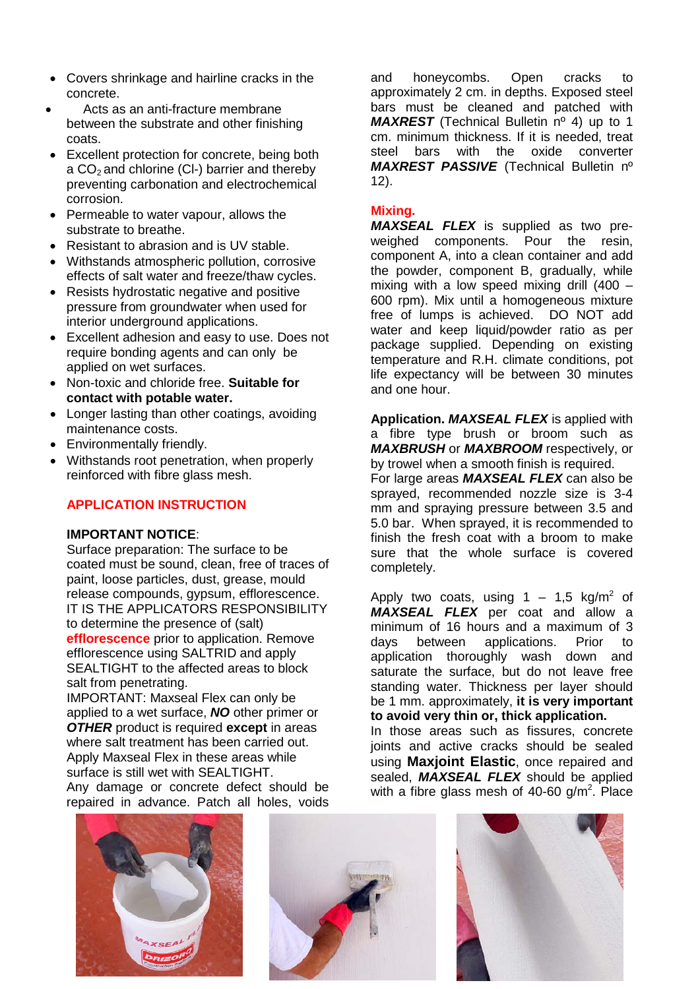- Covers shrinkage and hairline cracks in the concrete.
- Acts as an anti-fracture membrane between the substrate and other finishing coats.
- Excellent protection for concrete, being both a  $CO<sub>2</sub>$  and chlorine (CI-) barrier and thereby preventing carbonation and electrochemical corrosion.
- Permeable to water vapour, allows the substrate to breathe.
- Resistant to abrasion and is UV stable.
- Withstands atmospheric pollution, corrosive effects of salt water and freeze/thaw cycles.
- Resists hydrostatic negative and positive pressure from groundwater when used for interior underground applications.
- Excellent adhesion and easy to use. Does not require bonding agents and can only be applied on wet surfaces.
- Non-toxic and chloride free. **Suitable for contact with potable water.**
- Longer lasting than other coatings, avoiding maintenance costs.
- Environmentally friendly.
- Withstands root penetration, when properly reinforced with fibre glass mesh.

## **APPLICATION INSTRUCTION**

## **IMPORTANT NOTICE**:

Surface preparation: The surface to be coated must be sound, clean, free of traces of paint, loose particles, dust, grease, mould release compounds, gypsum, efflorescence. IT IS THE APPLICATORS RESPONSIBILITY to determine the presence of (salt) **efflorescence** prior to application. Remove efflorescence using SALTRID and apply SEALTIGHT to the affected areas to block salt from penetrating.

IMPORTANT: Maxseal Flex can only be applied to a wet surface, *NO* other primer or *OTHER* product is required **except** in areas where salt treatment has been carried out. Apply Maxseal Flex in these areas while surface is still wet with SEALTIGHT. Any damage or concrete defect should be repaired in advance. Patch all holes, voids

and honeycombs. Open cracks to approximately 2 cm. in depths. Exposed steel bars must be cleaned and patched with *MAXREST* (Technical Bulletin nº 4) up to 1 cm. minimum thickness. If it is needed, treat<br>steel bars with the oxide converter steel bars with the *MAXREST PASSIVE* (Technical Bulletin nº 12).

## **Mixing.**

*MAXSEAL FLEX* is supplied as two preweighed components. component A, into a clean container and add the powder, component B, gradually, while mixing with a low speed mixing drill  $(400 -$ 600 rpm). Mix until a homogeneous mixture<br>free of lumps is achieved. DO NOT add free of lumps is achieved. water and keep liquid/powder ratio as per package supplied. Depending on existing temperature and R.H. climate conditions, pot life expectancy will be between 30 minutes and one hour.

**Application.** *MAXSEAL FLEX* is applied with a fibre type brush or broom such as *MAXBRUSH* or *MAXBROOM* respectively, or by trowel when a smooth finish is required.

For large areas *MAXSEAL FLEX* can also be sprayed, recommended nozzle size is 3-4 mm and spraying pressure between 3.5 and 5.0 bar. When sprayed, it is recommended to finish the fresh coat with a broom to make sure that the whole surface is covered completely.

Apply two coats, using  $1 - 1.5$  kg/m<sup>2</sup> of *MAXSEAL FLEX* per coat and allow a minimum of 16 hours and a maximum of 3<br>davs between applications. Prior to days between applications. Prior to application thoroughly wash down and saturate the surface, but do not leave free standing water. Thickness per layer should be 1 mm. approximately, **it is very important to avoid very thin or, thick application.** In those areas such as fissures, concrete

joints and active cracks should be sealed using **Maxjoint Elastic**, once repaired and sealed, *MAXSEAL FLEX* should be applied with a fibre glass mesh of 40-60 g/m<sup>2</sup>. Place





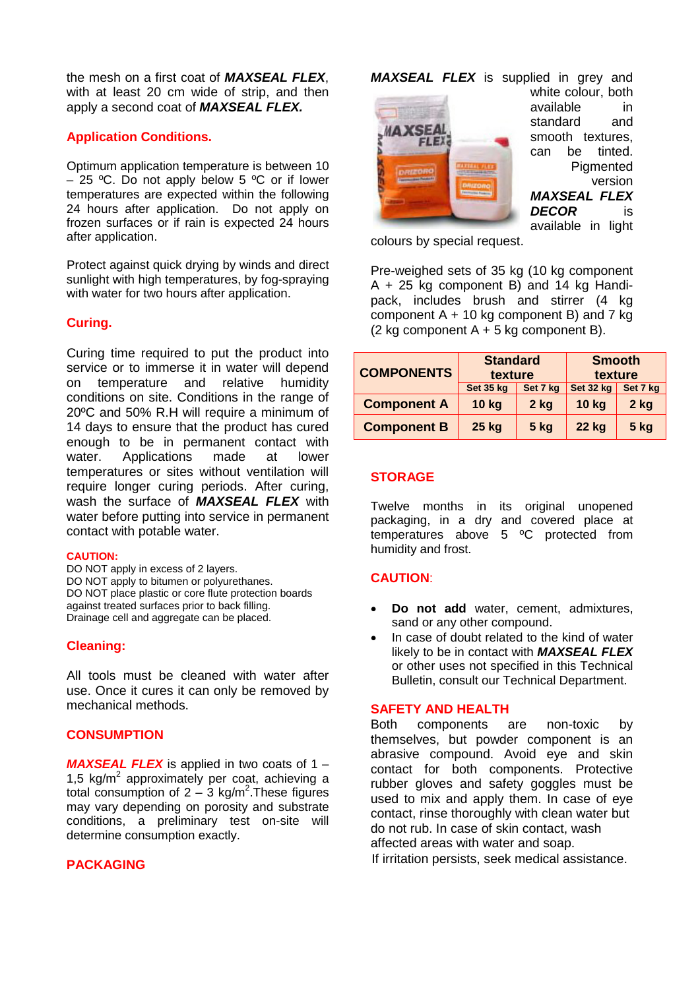the mesh on a first coat of *MAXSEAL FLEX*, with at least 20 cm wide of strip, and then apply a second coat of *MAXSEAL FLEX.*

#### **Application Conditions.**

Optimum application temperature is between 10 – 25 °C. Do not apply below 5 °C or if lower temperatures are expected within the following 24 hours after application. Do not apply on frozen surfaces or if rain is expected 24 hours after application.

Protect against quick drying by winds and direct sunlight with high temperatures, by fog-spraying with water for two hours after application.

### **Curing.**

Curing time required to put the product into service or to immerse it in water will depend on temperature and relative humidity conditions on site. Conditions in the range of 20ºC and 50% R.H will require a minimum of 14 days to ensure that the product has cured enough to be in permanent contact with<br>water. Applications made at lower Applications made at temperatures or sites without ventilation will require longer curing periods. After curing, wash the surface of *MAXSEAL FLEX* with water before putting into service in permanent contact with potable water.

#### **CAUTION:**

DO NOT apply in excess of 2 layers. DO NOT apply to bitumen or polyurethanes. DO NOT place plastic or core flute protection boards against treated surfaces prior to back filling. Drainage cell and aggregate can be placed.

#### **Cleaning:**

All tools must be cleaned with water after use. Once it cures it can only be removed by mechanical methods.

#### **CONSUMPTION**

*MAXSEAL FLEX* is applied in two coats of 1 – 1,5  $kg/m^2$  approximately per coat, achieving a total consumption of  $2 - 3$  kg/m<sup>2</sup>. These figures may vary depending on porosity and substrate conditions, a preliminary test on-site will determine consumption exactly.

#### **PACKAGING**

*MAXSEAL FLEX* is supplied in grey and



white colour, both available in standard and smooth textures, can be tinted. **Pigmented** version *MAXSEAL FLEX*  **DECOR** available in light

colours by special request.

Pre-weighed sets of 35 kg (10 kg component A + 25 kg component B) and 14 kg Handipack, includes brush and stirrer (4 kg component  $A + 10$  kg component B) and 7 kg (2 kg component  $A + 5$  kg component B).

| <b>COMPONENTS</b>  | <b>Standard</b><br>texture |             | <b>Smooth</b><br>texture |             |
|--------------------|----------------------------|-------------|--------------------------|-------------|
|                    | Set 35 kg                  | Set 7 kg    | Set 32 kg                | Set 7 kg    |
| <b>Component A</b> | <b>10 kg</b>               | $2$ kg      | $10$ kg                  | $2$ kg      |
| <b>Component B</b> | 25 kg                      | <b>5 kg</b> | <b>22 kg</b>             | <b>5 kg</b> |

#### **STORAGE**

Twelve months in its original unopened packaging, in a dry and covered place at temperatures above 5 ºC protected from humidity and frost.

#### **CAUTION**:

- **Do not add** water, cement, admixtures, sand or any other compound.
- In case of doubt related to the kind of water likely to be in contact with *MAXSEAL FLEX* or other uses not specified in this Technical Bulletin, consult our Technical Department.

#### **SAFETY AND HEALTH**

Both components are non-toxic by themselves, but powder component is an abrasive compound. Avoid eye and skin contact for both components. Protective rubber gloves and safety goggles must be used to mix and apply them. In case of eye contact, rinse thoroughly with clean water but do not rub. In case of skin contact, wash affected areas with water and soap. If irritation persists, seek medical assistance.